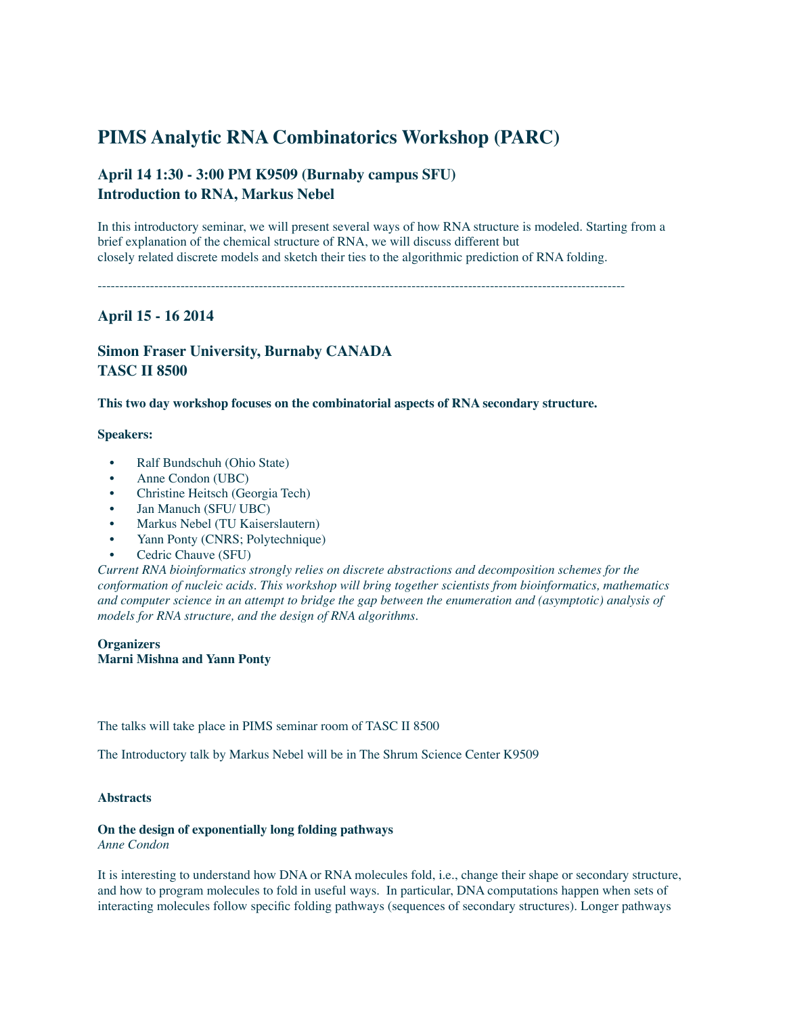# **PIMS Analytic RNA Combinatorics Workshop (PARC)**

# **April 14 1:30 - 3:00 PM K9509 (Burnaby campus SFU) Introduction to RNA, Markus Nebel**

In this introductory seminar, we will present several ways of how RNA structure is modeled. Starting from a brief explanation of the chemical structure of RNA, we will discuss different but closely related discrete models and sketch their ties to the algorithmic prediction of RNA folding.

-------------------------------------------------------------------------------------------------------------------------

# **April 15 - 16 2014**

# **Simon Fraser University, Burnaby CANADA TASC II 8500**

**This two day workshop focuses on the combinatorial aspects of RNA secondary structure.**

# **Speakers:**

- [Ralf Bundschuh](http://bioserv.mps.ohio-state.edu/%7Erbund/) (Ohio State)
- [Anne Condon](http://www.cs.ubc.ca/%7Econdon/) (UBC)
- [Christine Heitsch](http://people.math.gatech.edu/%7Eheitsch/) (Georgia Tech)
- [Jan Manuch](http://www.cs.ubc.ca/%7Ejmanuch/) (SFU/ UBC)
- [Markus Nebel](http://wwwagak.cs.uni-kl.de/nebel.html) (TU Kaiserslautern)
- [Yann Ponty](http://www.lix.polytechnique.fr/%7Eponty/) (CNRS; Polytechnique)
- Cedric Chauve (SFU)

*Current RNA bioinformatics strongly relies on discrete abstractions and decomposition schemes for the conformation of nucleic acids. This workshop will bring together scientists from bioinformatics, mathematics and computer science in an attempt to bridge the gap between the enumeration and (asymptotic) analysis of models for RNA structure, and the design of RNA algorithms.*

# **Organizer[s](http://people.math.sfu.ca/%7Emmishna/) Marni Mishna and Yann Ponty**

The talks will take place in PIMS seminar room of TASC II 8500

The Introductory talk by Markus Nebel will be in The Shrum Science Center K9509

#### **Abstracts**

# **On the design of exponentially long folding pathways**

*Anne Condon*

It is interesting to understand how DNA or RNA molecules fold, i.e., change their shape or secondary structure, and how to program molecules to fold in useful ways. In particular, DNA computations happen when sets of interacting molecules follow specific folding pathways (sequences of secondary structures). Longer pathways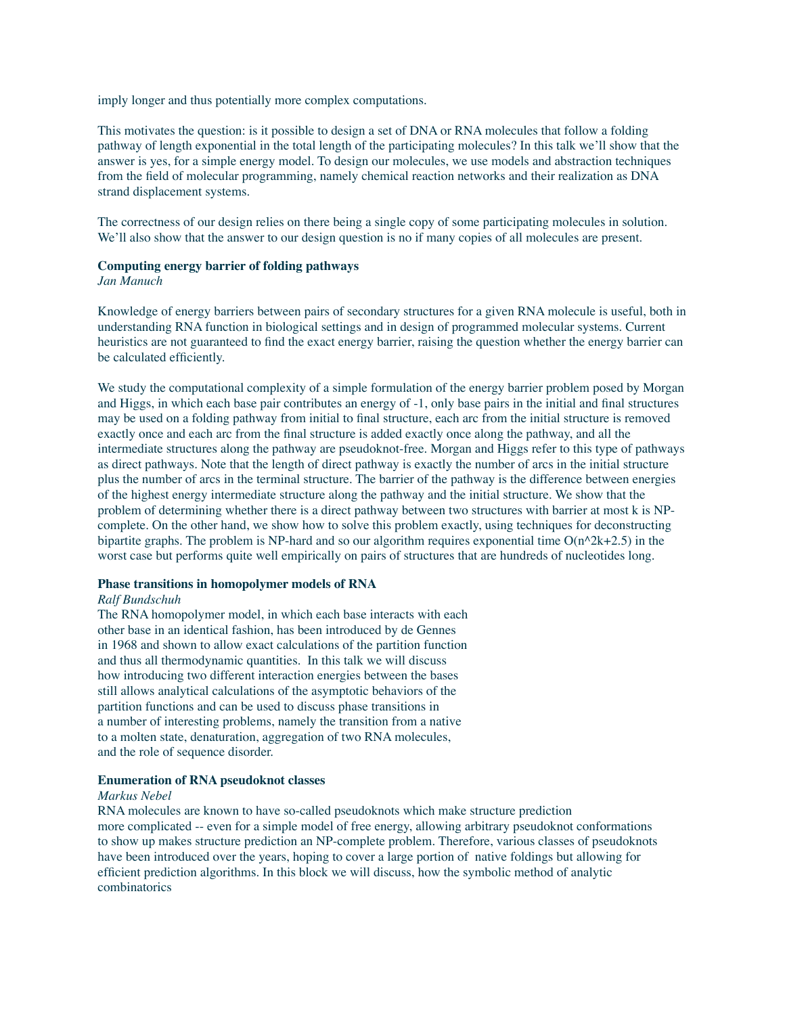imply longer and thus potentially more complex computations.

This motivates the question: is it possible to design a set of DNA or RNA molecules that follow a folding pathway of length exponential in the total length of the participating molecules? In this talk we'll show that the answer is yes, for a simple energy model. To design our molecules, we use models and abstraction techniques from the field of molecular programming, namely chemical reaction networks and their realization as DNA strand displacement systems.

The correctness of our design relies on there being a single copy of some participating molecules in solution. We'll also show that the answer to our design question is no if many copies of all molecules are present.

# **Computing energy barrier of folding pathways**

# *Jan Manuch*

Knowledge of energy barriers between pairs of secondary structures for a given RNA molecule is useful, both in understanding RNA function in biological settings and in design of programmed molecular systems. Current heuristics are not guaranteed to find the exact energy barrier, raising the question whether the energy barrier can be calculated efficiently.

We study the computational complexity of a simple formulation of the energy barrier problem posed by Morgan and Higgs, in which each base pair contributes an energy of -1, only base pairs in the initial and final structures may be used on a folding pathway from initial to final structure, each arc from the initial structure is removed exactly once and each arc from the final structure is added exactly once along the pathway, and all the intermediate structures along the pathway are pseudoknot-free. Morgan and Higgs refer to this type of pathways as direct pathways. Note that the length of direct pathway is exactly the number of arcs in the initial structure plus the number of arcs in the terminal structure. The barrier of the pathway is the difference between energies of the highest energy intermediate structure along the pathway and the initial structure. We show that the problem of determining whether there is a direct pathway between two structures with barrier at most k is NPcomplete. On the other hand, we show how to solve this problem exactly, using techniques for deconstructing bipartite graphs. The problem is NP-hard and so our algorithm requires exponential time  $O(n^2k+2.5)$  in the worst case but performs quite well empirically on pairs of structures that are hundreds of nucleotides long.

# **Phase transitions in homopolymer models of RNA**

### *Ralf Bundschuh*

The RNA homopolymer model, in which each base interacts with each other base in an identical fashion, has been introduced by de Gennes in 1968 and shown to allow exact calculations of the partition function and thus all thermodynamic quantities. In this talk we will discuss how introducing two different interaction energies between the bases still allows analytical calculations of the asymptotic behaviors of the partition functions and can be used to discuss phase transitions in a number of interesting problems, namely the transition from a native to a molten state, denaturation, aggregation of two RNA molecules, and the role of sequence disorder.

#### **Enumeration of RNA pseudoknot classes**

#### *Markus Nebel*

RNA molecules are known to have so-called pseudoknots which make structure prediction more complicated -- even for a simple model of free energy, allowing arbitrary pseudoknot conformations to show up makes structure prediction an NP-complete problem. Therefore, various classes of pseudoknots have been introduced over the years, hoping to cover a large portion of native foldings but allowing for efficient prediction algorithms. In this block we will discuss, how the symbolic method of analytic combinatorics